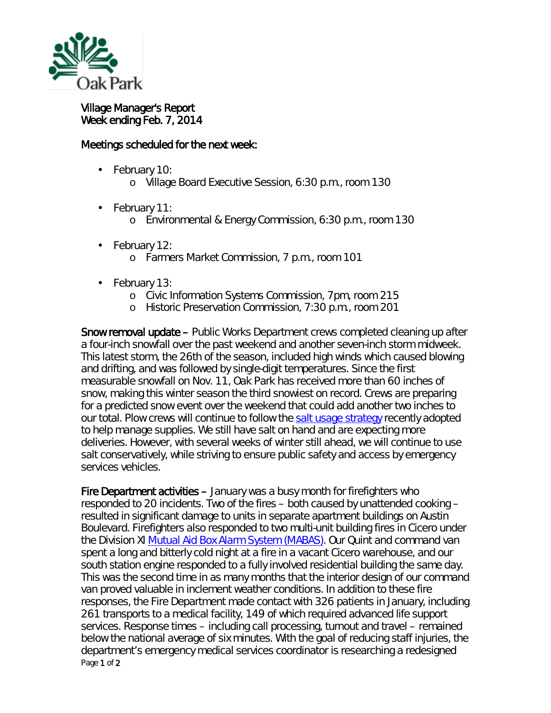

## Village Manager's Report Week ending Feb. 7, 2014

## Meetings scheduled for the next week:

- February 10: ä,
	- o Village Board Executive Session, 6:30 p.m., room 130
- February 11: ä,
	- o Environmental & Energy Commission, 6:30 p.m., room 130
- February 12: ä,
	- o Farmers Market Commission, 7 p.m., room 101
- February 13:
	- o Civic Information Systems Commission, 7pm, room 215
	- o Historic Preservation Commission, 7:30 p.m., room 201

Snow removal update – Public Works Department crews completed cleaning up after a four-inch snowfall over the past weekend and another seven-inch storm midweek. This latest storm, the 26th of the season, included high winds which caused blowing and drifting, and was followed by single-digit temperatures. Since the first measurable snowfall on Nov. 11, Oak Park has received more than 60 inches of snow, making this winter season the third snowiest on record. Crews are preparing for a predicted snow event over the weekend that could add another two inches to our total. Plow crews will continue to follow the [salt usage strategy](http://www.oak-park.us/news/village-forced-change-snow-fighting-strategies) recently adopted to help manage supplies. We still have salt on hand and are expecting more deliveries. However, with several weeks of winter still ahead, we will continue to use salt conservatively, while striving to ensure public safety and access by emergency services vehicles.

Page 1 of 2 Fire Department activities – January was a busy month for firefighters who responded to 20 incidents. Two of the fires – both caused by unattended cooking – resulted in significant damage to units in separate apartment buildings on Austin Boulevard. Firefighters also responded to two multi-unit building fires in Cicero under the Division XI [Mutual Aid Box Alarm System \(MABAS\).](http://www.mabas-il.org/Pages/WelcomeToMABAS.aspx) Our Quint and command van spent a long and bitterly cold night at a fire in a vacant Cicero warehouse, and our south station engine responded to a fully involved residential building the same day. This was the second time in as many months that the interior design of our command van proved valuable in inclement weather conditions. In addition to these fire responses, the Fire Department made contact with 326 patients in January, including 261 transports to a medical facility, 149 of which required advanced life support services. Response times – including call processing, turnout and travel – remained below the national average of six minutes. With the goal of reducing staff injuries, the department's emergency medical services coordinator is researching a redesigned